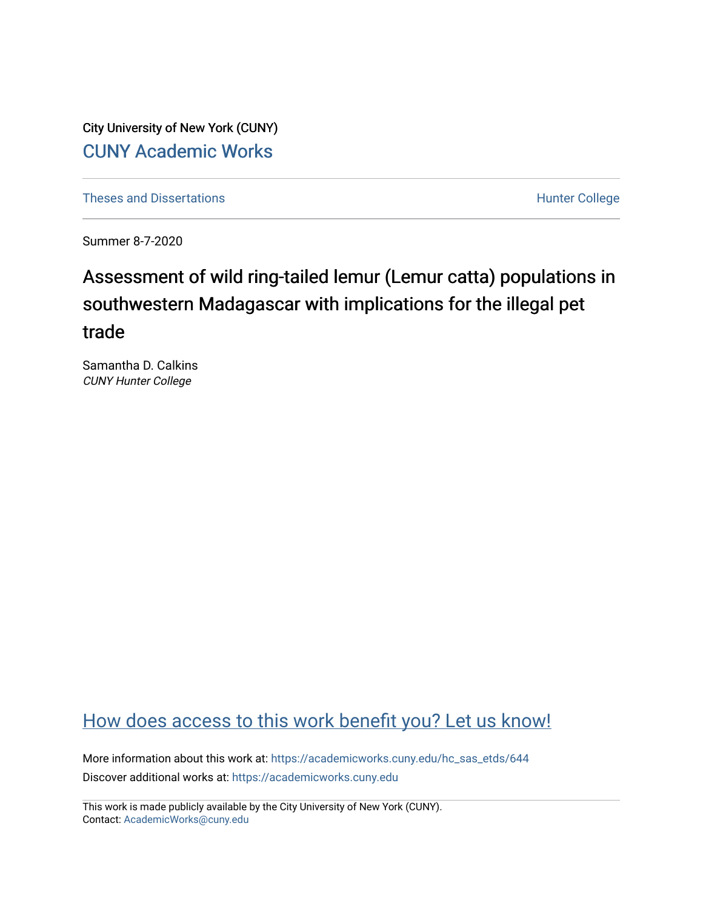City University of New York (CUNY) [CUNY Academic Works](https://academicworks.cuny.edu/) 

[Theses and Dissertations](https://academicworks.cuny.edu/hc_sas_etds) **Hunter College** 

Summer 8-7-2020

# Assessment of wild ring-tailed lemur (Lemur catta) populations in southwestern Madagascar with implications for the illegal pet trade

Samantha D. Calkins CUNY Hunter College

## [How does access to this work benefit you? Let us know!](http://ols.cuny.edu/academicworks/?ref=https://academicworks.cuny.edu/hc_sas_etds/644)

More information about this work at: [https://academicworks.cuny.edu/hc\\_sas\\_etds/644](https://academicworks.cuny.edu/hc_sas_etds/644)  Discover additional works at: [https://academicworks.cuny.edu](https://academicworks.cuny.edu/?)

This work is made publicly available by the City University of New York (CUNY). Contact: [AcademicWorks@cuny.edu](mailto:AcademicWorks@cuny.edu)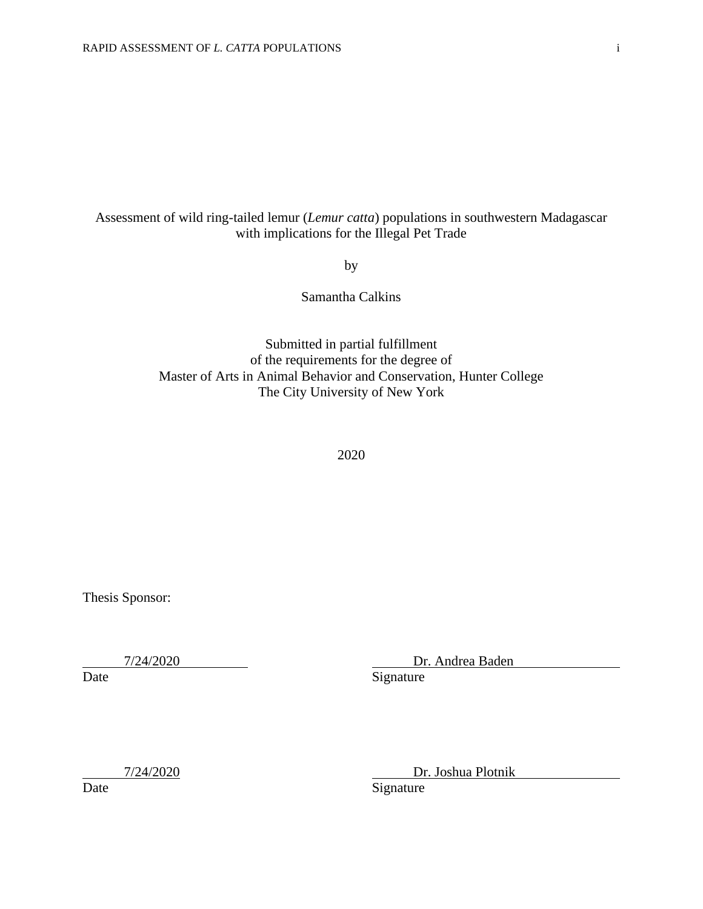### Assessment of wild ring-tailed lemur (*Lemur catta*) populations in southwestern Madagascar with implications for the Illegal Pet Trade

by

Samantha Calkins

Submitted in partial fulfillment of the requirements for the degree of Master of Arts in Animal Behavior and Conservation, Hunter College The City University of New York

2020

Thesis Sponsor:

7/24/2020 Dr. Andrea Baden

Date Signature

7/24/2020 Dr. Joshua Plotnik

Date Signature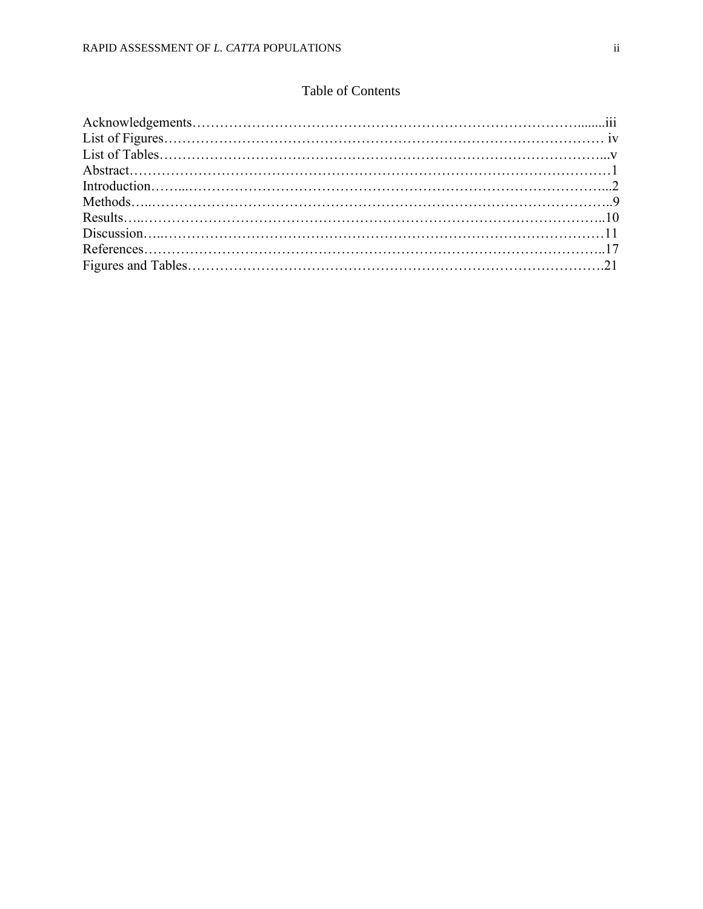## Table of Contents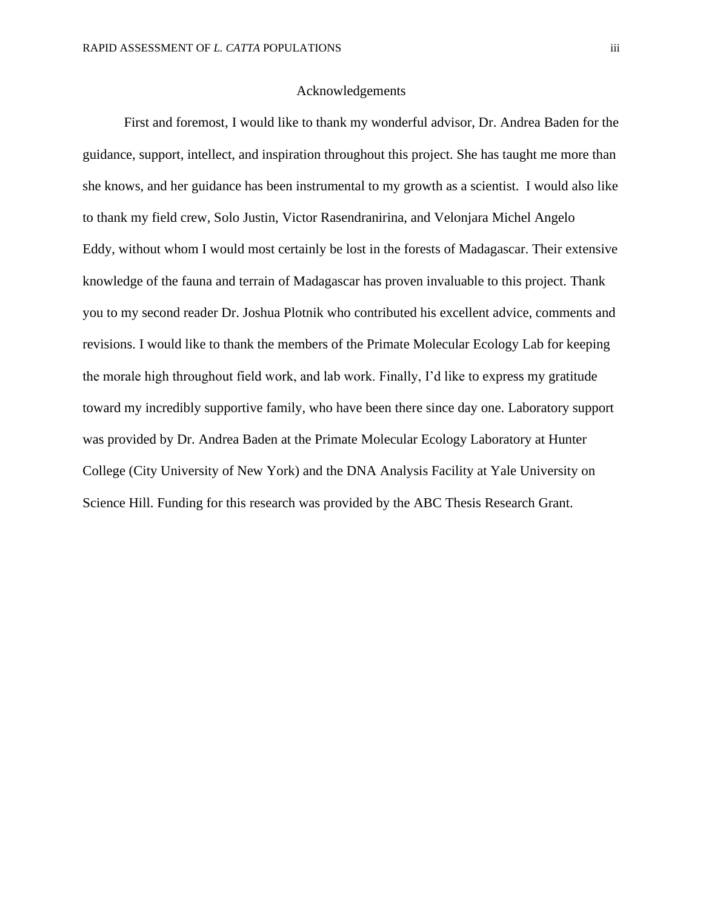#### Acknowledgements

First and foremost, I would like to thank my wonderful advisor, Dr. Andrea Baden for the guidance, support, intellect, and inspiration throughout this project. She has taught me more than she knows, and her guidance has been instrumental to my growth as a scientist. I would also like to thank my field crew, Solo Justin, Victor Rasendranirina, and Velonjara Michel Angelo Eddy, without whom I would most certainly be lost in the forests of Madagascar. Their extensive knowledge of the fauna and terrain of Madagascar has proven invaluable to this project. Thank you to my second reader Dr. Joshua Plotnik who contributed his excellent advice, comments and revisions. I would like to thank the members of the Primate Molecular Ecology Lab for keeping the morale high throughout field work, and lab work. Finally, I'd like to express my gratitude toward my incredibly supportive family, who have been there since day one. Laboratory support was provided by Dr. Andrea Baden at the Primate Molecular Ecology Laboratory at Hunter College (City University of New York) and the DNA Analysis Facility at Yale University on Science Hill. Funding for this research was provided by the ABC Thesis Research Grant.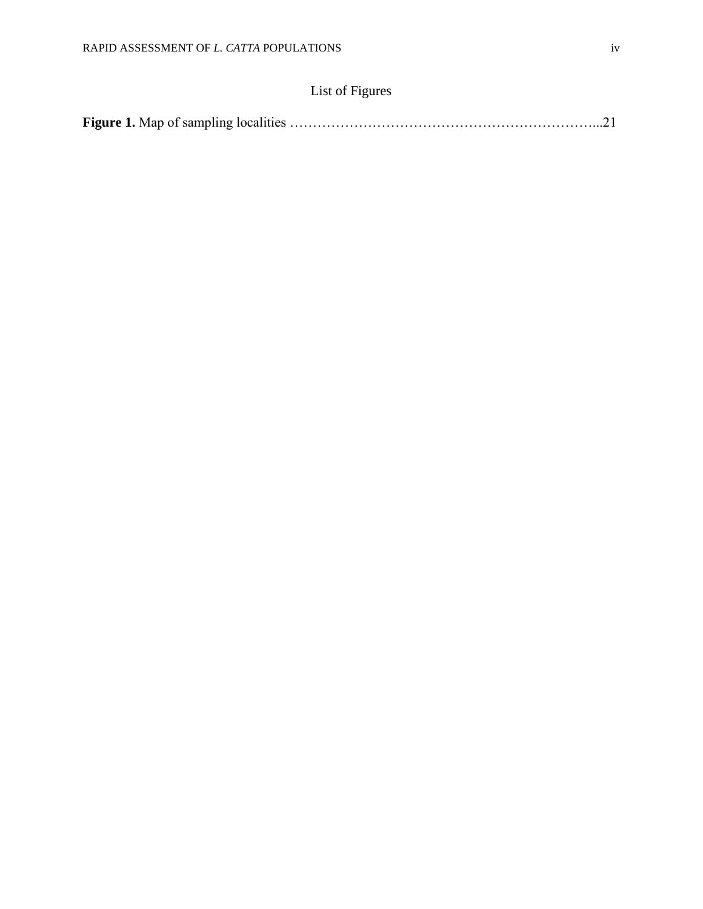## List of Figures

|--|--|--|--|--|--|--|--|--|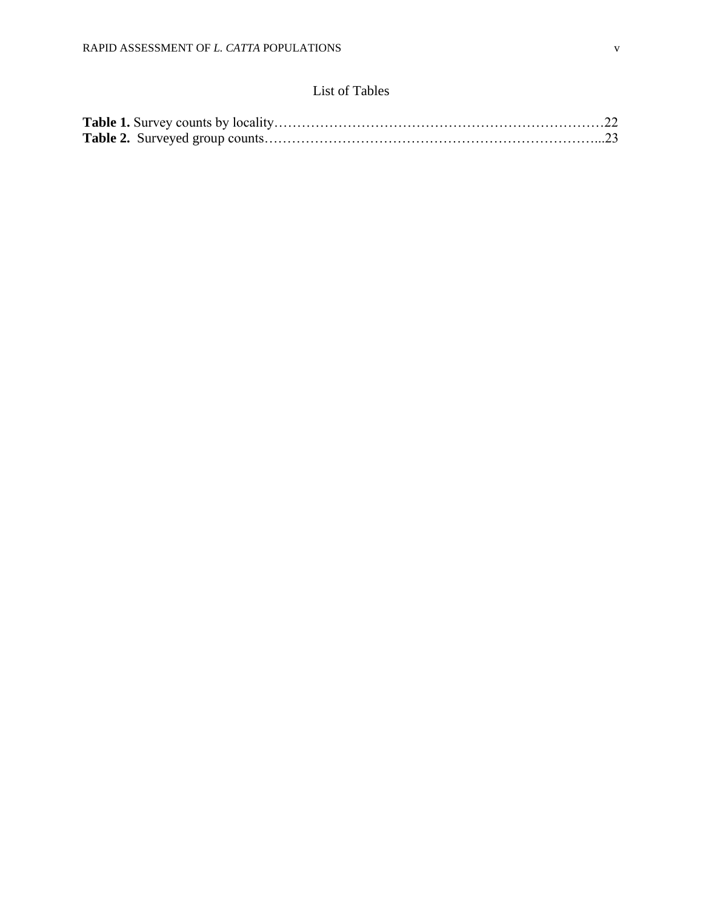## List of Tables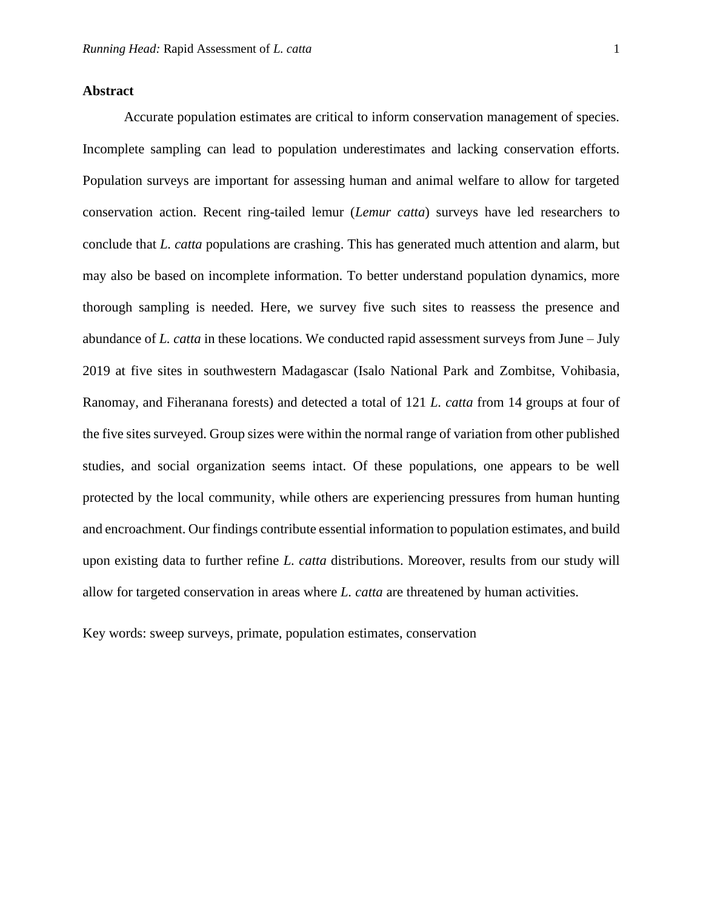#### **Abstract**

Accurate population estimates are critical to inform conservation management of species. Incomplete sampling can lead to population underestimates and lacking conservation efforts. Population surveys are important for assessing human and animal welfare to allow for targeted conservation action. Recent ring-tailed lemur (*Lemur catta*) surveys have led researchers to conclude that *L. catta* populations are crashing. This has generated much attention and alarm, but may also be based on incomplete information. To better understand population dynamics, more thorough sampling is needed. Here, we survey five such sites to reassess the presence and abundance of *L. catta* in these locations. We conducted rapid assessment surveys from June – July 2019 at five sites in southwestern Madagascar (Isalo National Park and Zombitse, Vohibasia, Ranomay, and Fiheranana forests) and detected a total of 121 *L. catta* from 14 groups at four of the five sites surveyed. Group sizes were within the normal range of variation from other published studies, and social organization seems intact. Of these populations, one appears to be well protected by the local community, while others are experiencing pressures from human hunting and encroachment. Our findings contribute essential information to population estimates, and build upon existing data to further refine *L. catta* distributions. Moreover, results from our study will allow for targeted conservation in areas where *L. catta* are threatened by human activities.

Key words: sweep surveys, primate, population estimates, conservation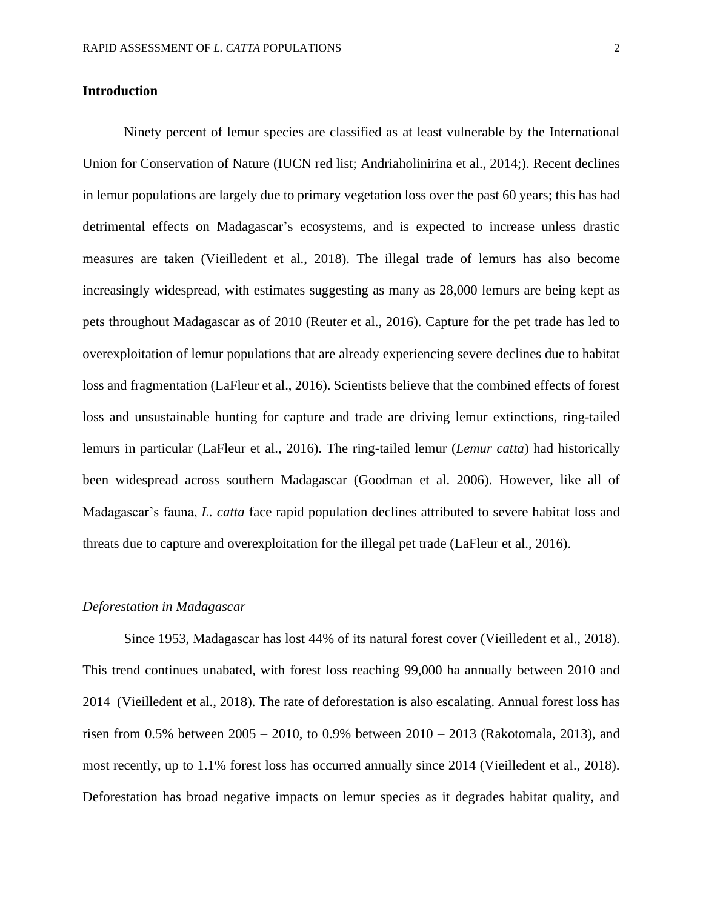#### **Introduction**

Ninety percent of lemur species are classified as at least vulnerable by the International Union for Conservation of Nature (IUCN red list; Andriaholinirina et al., 2014;). Recent declines in lemur populations are largely due to primary vegetation loss over the past 60 years; this has had detrimental effects on Madagascar's ecosystems, and is expected to increase unless drastic measures are taken (Vieilledent et al., 2018). The illegal trade of lemurs has also become increasingly widespread, with estimates suggesting as many as 28,000 lemurs are being kept as pets throughout Madagascar as of 2010 (Reuter et al., 2016). Capture for the pet trade has led to overexploitation of lemur populations that are already experiencing severe declines due to habitat loss and fragmentation (LaFleur et al., 2016). Scientists believe that the combined effects of forest loss and unsustainable hunting for capture and trade are driving lemur extinctions, ring-tailed lemurs in particular (LaFleur et al., 2016). The ring-tailed lemur (*Lemur catta*) had historically been widespread across southern Madagascar (Goodman et al. 2006). However, like all of Madagascar's fauna, *L. catta* face rapid population declines attributed to severe habitat loss and threats due to capture and overexploitation for the illegal pet trade (LaFleur et al., 2016).

#### *Deforestation in Madagascar*

Since 1953, Madagascar has lost 44% of its natural forest cover (Vieilledent et al., 2018). This trend continues unabated, with forest loss reaching 99,000 ha annually between 2010 and 2014 (Vieilledent et al., 2018). The rate of deforestation is also escalating. Annual forest loss has risen from 0.5% between 2005 – 2010, to 0.9% between 2010 – 2013 (Rakotomala, 2013), and most recently, up to 1.1% forest loss has occurred annually since 2014 (Vieilledent et al., 2018). Deforestation has broad negative impacts on lemur species as it degrades habitat quality, and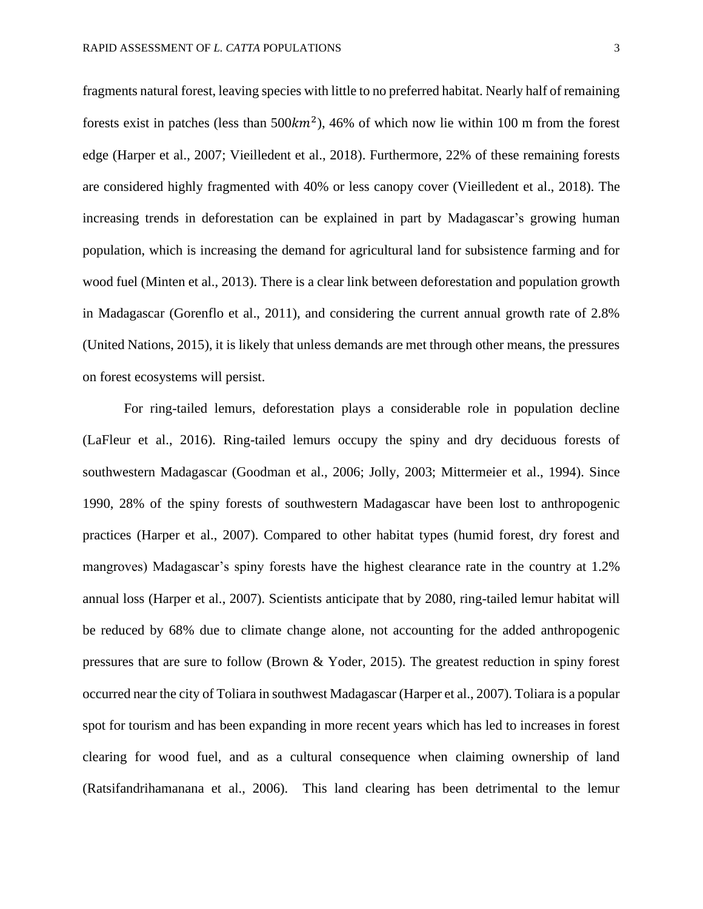fragments natural forest, leaving species with little to no preferred habitat. Nearly half of remaining forests exist in patches (less than  $500km^2$ ), 46% of which now lie within 100 m from the forest edge (Harper et al., 2007; Vieilledent et al., 2018). Furthermore, 22% of these remaining forests are considered highly fragmented with 40% or less canopy cover (Vieilledent et al., 2018). The increasing trends in deforestation can be explained in part by Madagascar's growing human population, which is increasing the demand for agricultural land for subsistence farming and for wood fuel (Minten et al., 2013). There is a clear link between deforestation and population growth in Madagascar (Gorenflo et al., 2011), and considering the current annual growth rate of 2.8% (United Nations, 2015), it is likely that unless demands are met through other means, the pressures on forest ecosystems will persist.

For ring-tailed lemurs, deforestation plays a considerable role in population decline (LaFleur et al., 2016). Ring-tailed lemurs occupy the spiny and dry deciduous forests of southwestern Madagascar (Goodman et al., 2006; Jolly, 2003; Mittermeier et al., 1994). Since 1990, 28% of the spiny forests of southwestern Madagascar have been lost to anthropogenic practices (Harper et al., 2007). Compared to other habitat types (humid forest, dry forest and mangroves) Madagascar's spiny forests have the highest clearance rate in the country at 1.2% annual loss (Harper et al., 2007). Scientists anticipate that by 2080, ring-tailed lemur habitat will be reduced by 68% due to climate change alone, not accounting for the added anthropogenic pressures that are sure to follow (Brown & Yoder, 2015). The greatest reduction in spiny forest occurred near the city of Toliara in southwest Madagascar (Harper et al., 2007). Toliara is a popular spot for tourism and has been expanding in more recent years which has led to increases in forest clearing for wood fuel, and as a cultural consequence when claiming ownership of land (Ratsifandrihamanana et al., 2006). This land clearing has been detrimental to the lemur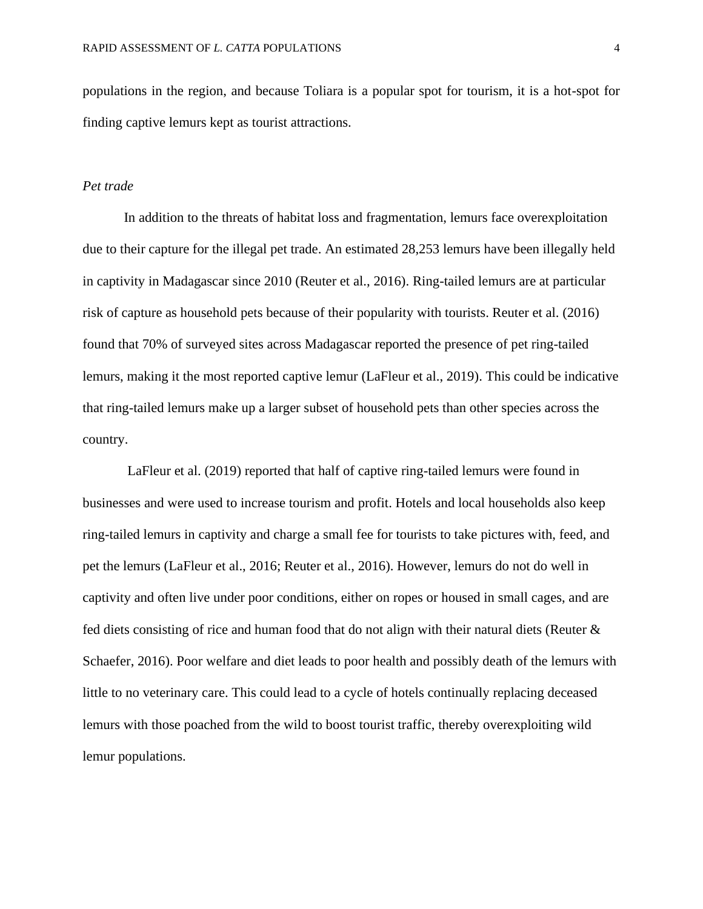populations in the region, and because Toliara is a popular spot for tourism, it is a hot-spot for finding captive lemurs kept as tourist attractions.

#### *Pet trade*

In addition to the threats of habitat loss and fragmentation, lemurs face overexploitation due to their capture for the illegal pet trade. An estimated 28,253 lemurs have been illegally held in captivity in Madagascar since 2010 (Reuter et al., 2016). Ring-tailed lemurs are at particular risk of capture as household pets because of their popularity with tourists. Reuter et al. (2016) found that 70% of surveyed sites across Madagascar reported the presence of pet ring-tailed lemurs, making it the most reported captive lemur (LaFleur et al., 2019). This could be indicative that ring-tailed lemurs make up a larger subset of household pets than other species across the country.

LaFleur et al. (2019) reported that half of captive ring-tailed lemurs were found in businesses and were used to increase tourism and profit. Hotels and local households also keep ring-tailed lemurs in captivity and charge a small fee for tourists to take pictures with, feed, and pet the lemurs (LaFleur et al., 2016; Reuter et al., 2016). However, lemurs do not do well in captivity and often live under poor conditions, either on ropes or housed in small cages, and are fed diets consisting of rice and human food that do not align with their natural diets (Reuter & Schaefer, 2016). Poor welfare and diet leads to poor health and possibly death of the lemurs with little to no veterinary care. This could lead to a cycle of hotels continually replacing deceased lemurs with those poached from the wild to boost tourist traffic, thereby overexploiting wild lemur populations.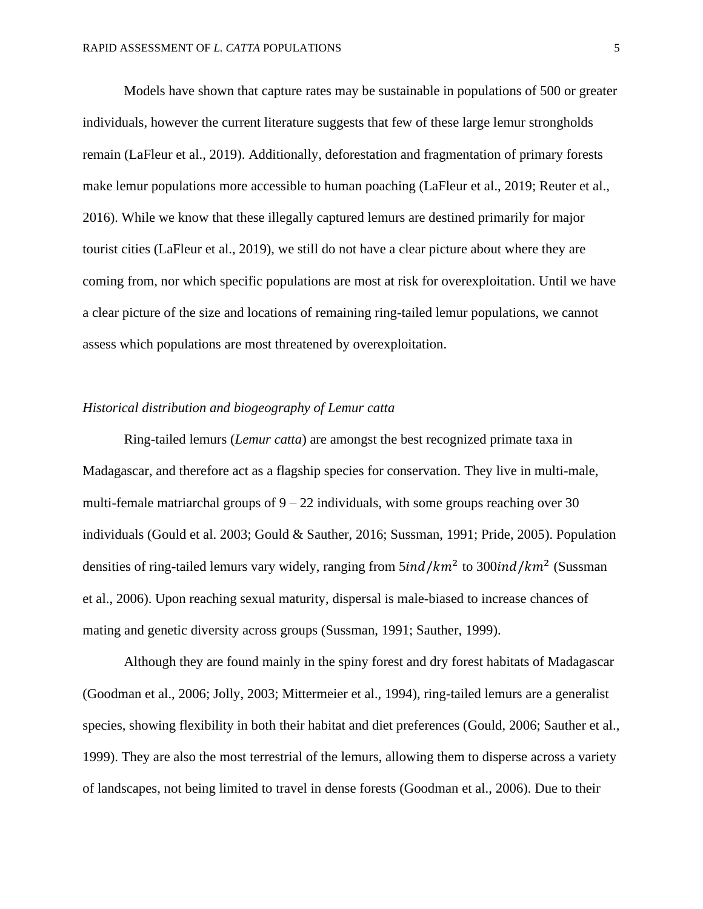Models have shown that capture rates may be sustainable in populations of 500 or greater individuals, however the current literature suggests that few of these large lemur strongholds remain (LaFleur et al., 2019). Additionally, deforestation and fragmentation of primary forests make lemur populations more accessible to human poaching (LaFleur et al., 2019; Reuter et al., 2016). While we know that these illegally captured lemurs are destined primarily for major tourist cities (LaFleur et al., 2019), we still do not have a clear picture about where they are coming from, nor which specific populations are most at risk for overexploitation. Until we have a clear picture of the size and locations of remaining ring-tailed lemur populations, we cannot assess which populations are most threatened by overexploitation.

#### *Historical distribution and biogeography of Lemur catta*

Ring-tailed lemurs (*Lemur catta*) are amongst the best recognized primate taxa in Madagascar, and therefore act as a flagship species for conservation. They live in multi-male, multi-female matriarchal groups of  $9 - 22$  individuals, with some groups reaching over 30 individuals (Gould et al. 2003; Gould & Sauther, 2016; Sussman, 1991; Pride, 2005). Population densities of ring-tailed lemurs vary widely, ranging from  $\frac{5ind}{km^2}$  to 300ind/km<sup>2</sup> (Sussman et al., 2006). Upon reaching sexual maturity, dispersal is male-biased to increase chances of mating and genetic diversity across groups (Sussman, 1991; Sauther, 1999).

Although they are found mainly in the spiny forest and dry forest habitats of Madagascar (Goodman et al., 2006; Jolly, 2003; Mittermeier et al., 1994), ring-tailed lemurs are a generalist species, showing flexibility in both their habitat and diet preferences (Gould, 2006; Sauther et al., 1999). They are also the most terrestrial of the lemurs, allowing them to disperse across a variety of landscapes, not being limited to travel in dense forests (Goodman et al., 2006). Due to their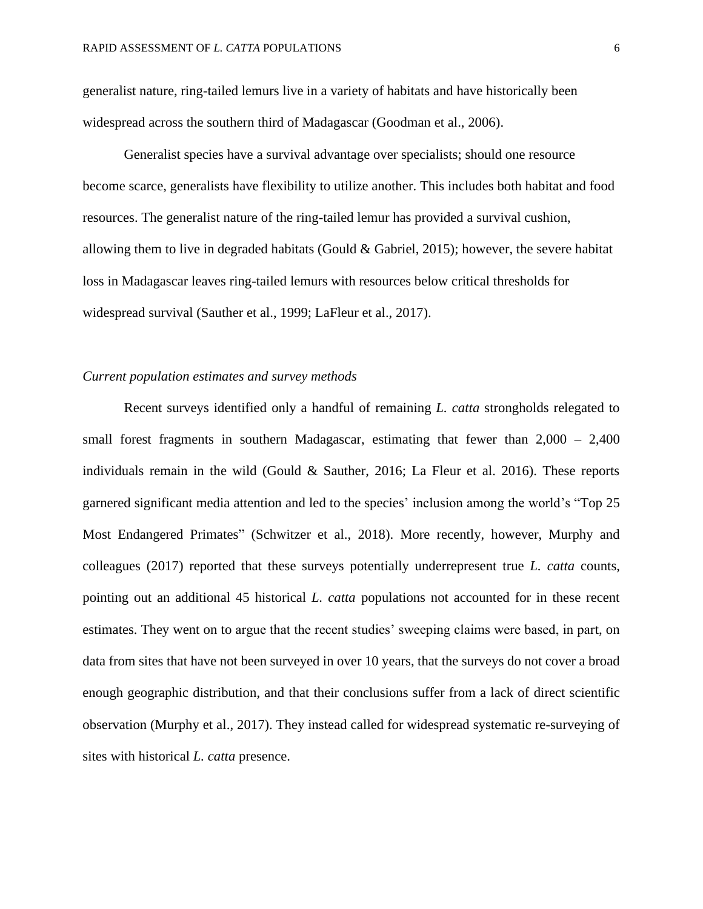generalist nature, ring-tailed lemurs live in a variety of habitats and have historically been widespread across the southern third of Madagascar (Goodman et al., 2006).

Generalist species have a survival advantage over specialists; should one resource become scarce, generalists have flexibility to utilize another. This includes both habitat and food resources. The generalist nature of the ring-tailed lemur has provided a survival cushion, allowing them to live in degraded habitats (Gould & Gabriel, 2015); however, the severe habitat loss in Madagascar leaves ring-tailed lemurs with resources below critical thresholds for widespread survival (Sauther et al., 1999; LaFleur et al., 2017).

#### *Current population estimates and survey methods*

Recent surveys identified only a handful of remaining *L. catta* strongholds relegated to small forest fragments in southern Madagascar, estimating that fewer than  $2,000 - 2,400$ individuals remain in the wild (Gould & Sauther, 2016; La Fleur et al. 2016). These reports garnered significant media attention and led to the species' inclusion among the world's "Top 25 Most Endangered Primates" (Schwitzer et al., 2018). More recently, however, Murphy and colleagues (2017) reported that these surveys potentially underrepresent true *L. catta* counts, pointing out an additional 45 historical *L. catta* populations not accounted for in these recent estimates. They went on to argue that the recent studies' sweeping claims were based, in part, on data from sites that have not been surveyed in over 10 years, that the surveys do not cover a broad enough geographic distribution, and that their conclusions suffer from a lack of direct scientific observation (Murphy et al., 2017). They instead called for widespread systematic re-surveying of sites with historical *L. catta* presence.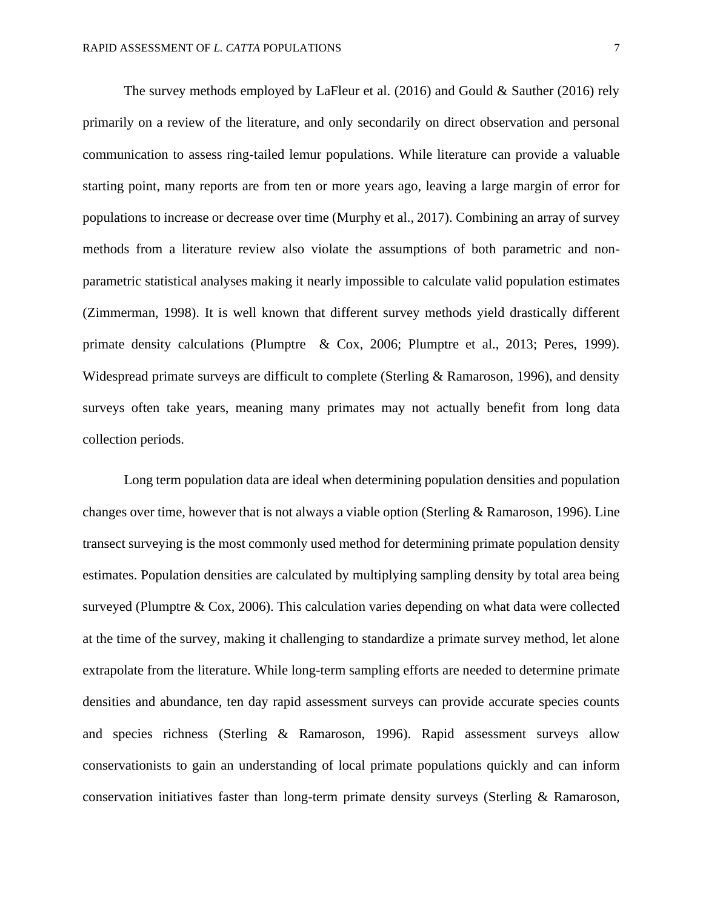The survey methods employed by LaFleur et al. (2016) and Gould & Sauther (2016) rely primarily on a review of the literature, and only secondarily on direct observation and personal communication to assess ring-tailed lemur populations. While literature can provide a valuable starting point, many reports are from ten or more years ago, leaving a large margin of error for populations to increase or decrease over time (Murphy et al., 2017). Combining an array of survey methods from a literature review also violate the assumptions of both parametric and nonparametric statistical analyses making it nearly impossible to calculate valid population estimates (Zimmerman, 1998). It is well known that different survey methods yield drastically different primate density calculations (Plumptre & Cox, 2006; Plumptre et al., 2013; Peres, 1999). Widespread primate surveys are difficult to complete (Sterling & Ramaroson, 1996), and density surveys often take years, meaning many primates may not actually benefit from long data collection periods.

Long term population data are ideal when determining population densities and population changes over time, however that is not always a viable option (Sterling & Ramaroson, 1996). Line transect surveying is the most commonly used method for determining primate population density estimates. Population densities are calculated by multiplying sampling density by total area being surveyed (Plumptre & Cox, 2006). This calculation varies depending on what data were collected at the time of the survey, making it challenging to standardize a primate survey method, let alone extrapolate from the literature. While long-term sampling efforts are needed to determine primate densities and abundance, ten day rapid assessment surveys can provide accurate species counts and species richness (Sterling & Ramaroson, 1996). Rapid assessment surveys allow conservationists to gain an understanding of local primate populations quickly and can inform conservation initiatives faster than long-term primate density surveys (Sterling & Ramaroson,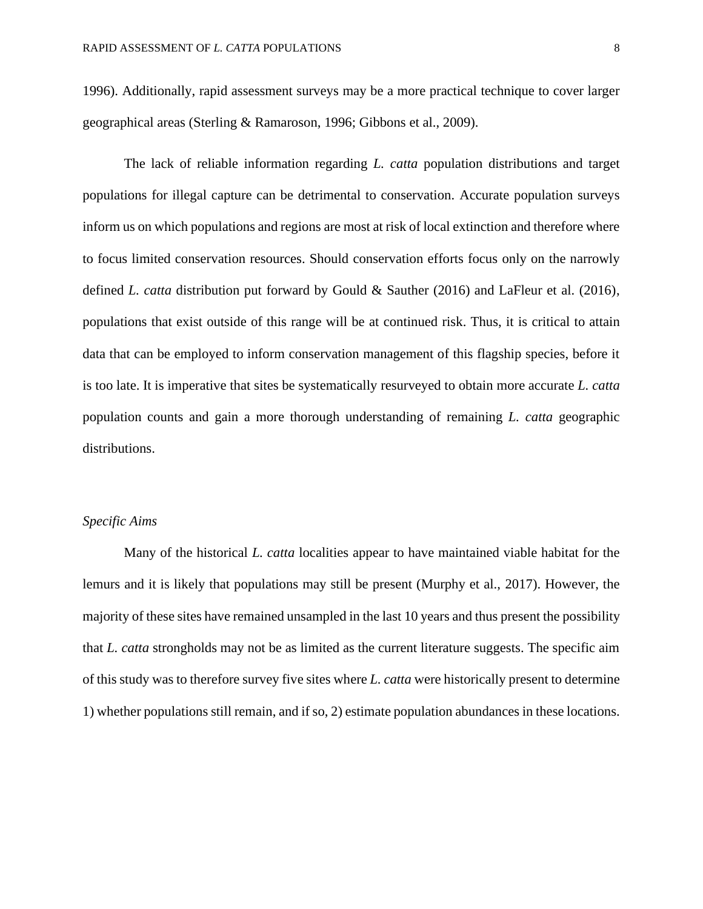1996). Additionally, rapid assessment surveys may be a more practical technique to cover larger geographical areas (Sterling & Ramaroson, 1996; Gibbons et al., 2009).

The lack of reliable information regarding *L. catta* population distributions and target populations for illegal capture can be detrimental to conservation. Accurate population surveys inform us on which populations and regions are most at risk of local extinction and therefore where to focus limited conservation resources. Should conservation efforts focus only on the narrowly defined *L. catta* distribution put forward by Gould & Sauther (2016) and LaFleur et al. (2016), populations that exist outside of this range will be at continued risk. Thus, it is critical to attain data that can be employed to inform conservation management of this flagship species, before it is too late. It is imperative that sites be systematically resurveyed to obtain more accurate *L. catta* population counts and gain a more thorough understanding of remaining *L. catta* geographic distributions.

### *Specific Aims*

Many of the historical *L. catta* localities appear to have maintained viable habitat for the lemurs and it is likely that populations may still be present (Murphy et al., 2017). However, the majority of these sites have remained unsampled in the last 10 years and thus present the possibility that *L. catta* strongholds may not be as limited as the current literature suggests. The specific aim of this study was to therefore survey five sites where *L. catta* were historically present to determine 1) whether populations still remain, and if so, 2) estimate population abundances in these locations.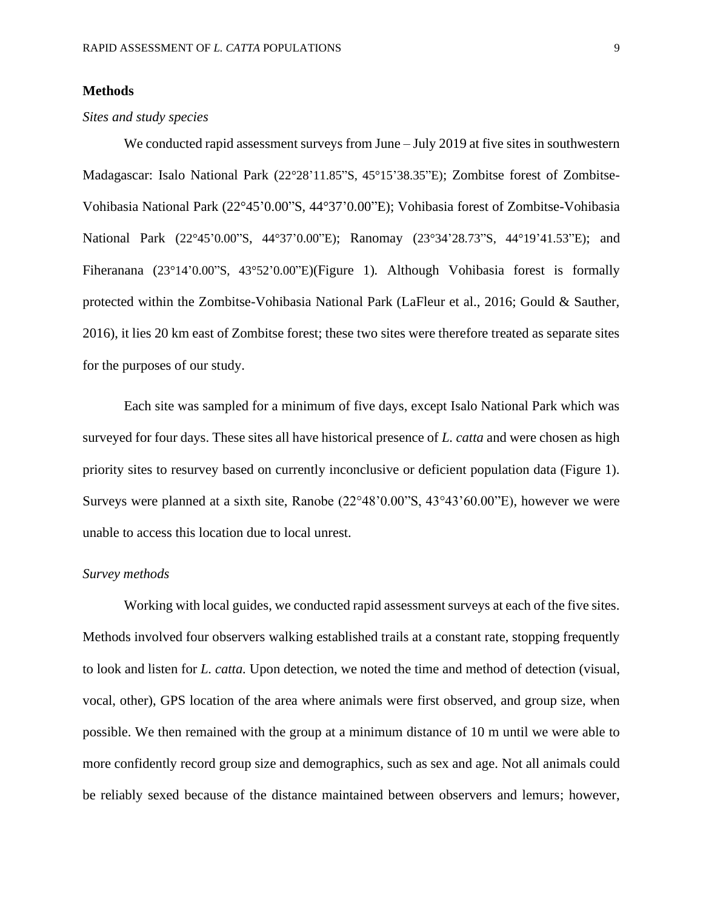#### **Methods**

#### *Sites and study species*

We conducted rapid assessment surveys from June – July 2019 at five sites in southwestern Madagascar: Isalo National Park (22°28'11.85"S, 45°15'38.35"E); Zombitse forest of Zombitse-Vohibasia National Park (22°45'0.00"S, 44°37'0.00"E); Vohibasia forest of Zombitse-Vohibasia National Park (22°45'0.00"S, 44°37'0.00"E); Ranomay (23°34'28.73"S, 44°19'41.53"E); and Fiheranana (23°14'0.00"S, 43°52'0.00"E)(Figure 1)*.* Although Vohibasia forest is formally protected within the Zombitse-Vohibasia National Park (LaFleur et al., 2016; Gould & Sauther, 2016), it lies 20 km east of Zombitse forest; these two sites were therefore treated as separate sites for the purposes of our study.

Each site was sampled for a minimum of five days, except Isalo National Park which was surveyed for four days. These sites all have historical presence of *L. catta* and were chosen as high priority sites to resurvey based on currently inconclusive or deficient population data (Figure 1). Surveys were planned at a sixth site, Ranobe (22°48'0.00"S, 43°43'60.00"E), however we were unable to access this location due to local unrest.

#### *Survey methods*

Working with local guides, we conducted rapid assessment surveys at each of the five sites. Methods involved four observers walking established trails at a constant rate, stopping frequently to look and listen for *L. catta.* Upon detection, we noted the time and method of detection (visual, vocal, other), GPS location of the area where animals were first observed, and group size, when possible. We then remained with the group at a minimum distance of 10 m until we were able to more confidently record group size and demographics, such as sex and age. Not all animals could be reliably sexed because of the distance maintained between observers and lemurs; however,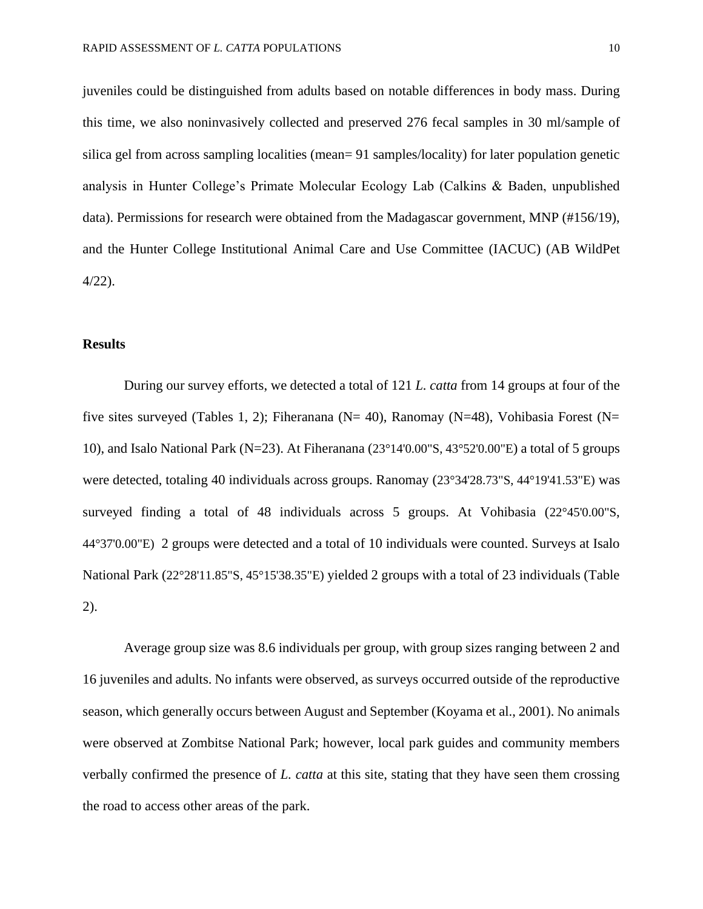juveniles could be distinguished from adults based on notable differences in body mass. During this time, we also noninvasively collected and preserved 276 fecal samples in 30 ml/sample of silica gel from across sampling localities (mean= 91 samples/locality) for later population genetic analysis in Hunter College's Primate Molecular Ecology Lab (Calkins & Baden, unpublished data). Permissions for research were obtained from the Madagascar government, MNP (#156/19), and the Hunter College Institutional Animal Care and Use Committee (IACUC) (AB WildPet 4/22).

#### **Results**

During our survey efforts, we detected a total of 121 *L. catta* from 14 groups at four of the five sites surveyed (Tables 1, 2); Fiheranana (N= 40), Ranomay (N=48), Vohibasia Forest (N= 10), and Isalo National Park (N=23). At Fiheranana (23°14'0.00"S, 43°52'0.00"E) a total of 5 groups were detected, totaling 40 individuals across groups. Ranomay (23°34'28.73"S, 44°19'41.53"E) was surveyed finding a total of 48 individuals across 5 groups. At Vohibasia (22°45'0.00"S, 44°37'0.00"E) 2 groups were detected and a total of 10 individuals were counted. Surveys at Isalo National Park (22°28'11.85"S, 45°15'38.35"E) yielded 2 groups with a total of 23 individuals (Table 2).

Average group size was 8.6 individuals per group, with group sizes ranging between 2 and 16 juveniles and adults. No infants were observed, as surveys occurred outside of the reproductive season, which generally occurs between August and September (Koyama et al., 2001). No animals were observed at Zombitse National Park; however, local park guides and community members verbally confirmed the presence of *L. catta* at this site, stating that they have seen them crossing the road to access other areas of the park.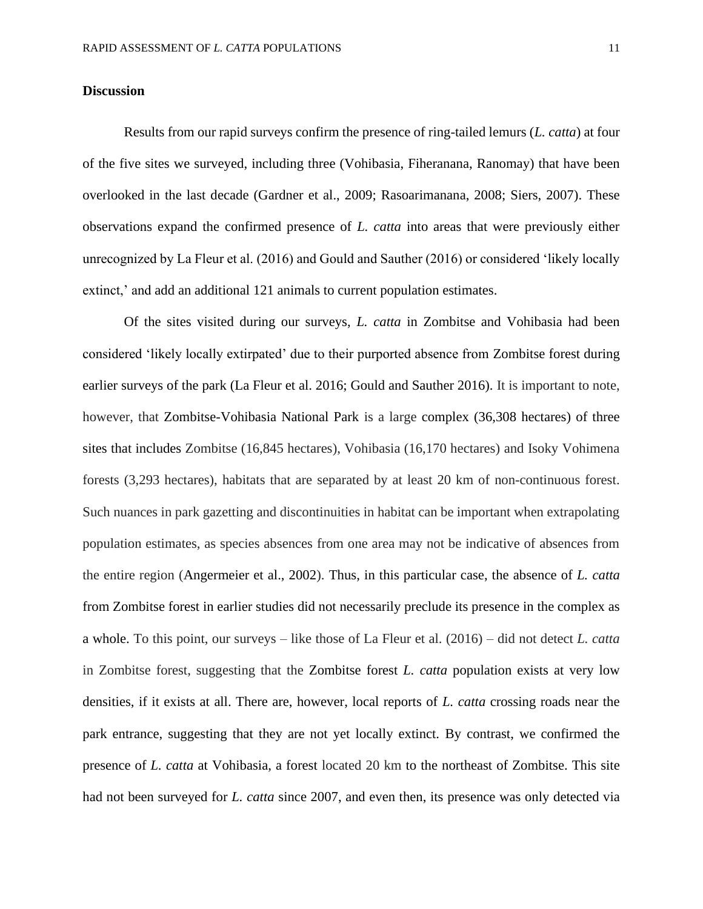#### **Discussion**

Results from our rapid surveys confirm the presence of ring-tailed lemurs (*L. catta*) at four of the five sites we surveyed, including three (Vohibasia, Fiheranana, Ranomay) that have been overlooked in the last decade (Gardner et al., 2009; Rasoarimanana, 2008; Siers, 2007). These observations expand the confirmed presence of *L. catta* into areas that were previously either unrecognized by La Fleur et al. (2016) and Gould and Sauther (2016) or considered 'likely locally extinct,' and add an additional 121 animals to current population estimates.

Of the sites visited during our surveys, *L. catta* in Zombitse and Vohibasia had been considered 'likely locally extirpated' due to their purported absence from Zombitse forest during earlier surveys of the park (La Fleur et al. 2016; Gould and Sauther 2016). It is important to note, however, that Zombitse-Vohibasia National Park is a large complex (36,308 hectares) of three sites that includes Zombitse (16,845 hectares), Vohibasia (16,170 hectares) and Isoky Vohimena forests (3,293 hectares), habitats that are separated by at least 20 km of non-continuous forest. Such nuances in park gazetting and discontinuities in habitat can be important when extrapolating population estimates, as species absences from one area may not be indicative of absences from the entire region (Angermeier et al., 2002). Thus, in this particular case, the absence of *L. catta* from Zombitse forest in earlier studies did not necessarily preclude its presence in the complex as a whole. To this point, our surveys – like those of La Fleur et al. (2016) – did not detect *L. catta* in Zombitse forest, suggesting that the Zombitse forest *L. catta* population exists at very low densities, if it exists at all. There are, however, local reports of *L. catta* crossing roads near the park entrance, suggesting that they are not yet locally extinct. By contrast, we confirmed the presence of *L. catta* at Vohibasia, a forest located 20 km to the northeast of Zombitse. This site had not been surveyed for *L. catta* since 2007, and even then, its presence was only detected via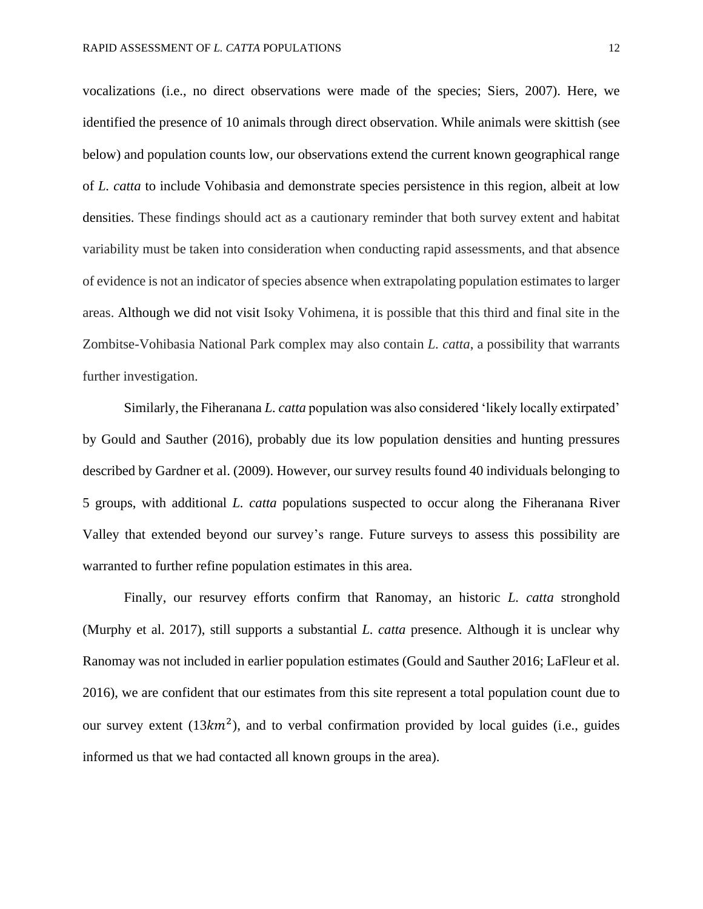vocalizations (i.e., no direct observations were made of the species; Siers, 2007). Here, we identified the presence of 10 animals through direct observation. While animals were skittish (see below) and population counts low, our observations extend the current known geographical range of *L. catta* to include Vohibasia and demonstrate species persistence in this region, albeit at low densities. These findings should act as a cautionary reminder that both survey extent and habitat variability must be taken into consideration when conducting rapid assessments, and that absence of evidence is not an indicator of species absence when extrapolating population estimates to larger areas. Although we did not visit Isoky Vohimena, it is possible that this third and final site in the Zombitse-Vohibasia National Park complex may also contain *L. catta*, a possibility that warrants further investigation.

Similarly, the Fiheranana *L. catta* population was also considered 'likely locally extirpated' by Gould and Sauther (2016), probably due its low population densities and hunting pressures described by Gardner et al. (2009). However, our survey results found 40 individuals belonging to 5 groups, with additional *L. catta* populations suspected to occur along the Fiheranana River Valley that extended beyond our survey's range. Future surveys to assess this possibility are warranted to further refine population estimates in this area.

Finally, our resurvey efforts confirm that Ranomay, an historic *L. catta* stronghold (Murphy et al. 2017), still supports a substantial *L. catta* presence. Although it is unclear why Ranomay was not included in earlier population estimates (Gould and Sauther 2016; LaFleur et al. 2016), we are confident that our estimates from this site represent a total population count due to our survey extent  $(13km^2)$ , and to verbal confirmation provided by local guides (i.e., guides informed us that we had contacted all known groups in the area).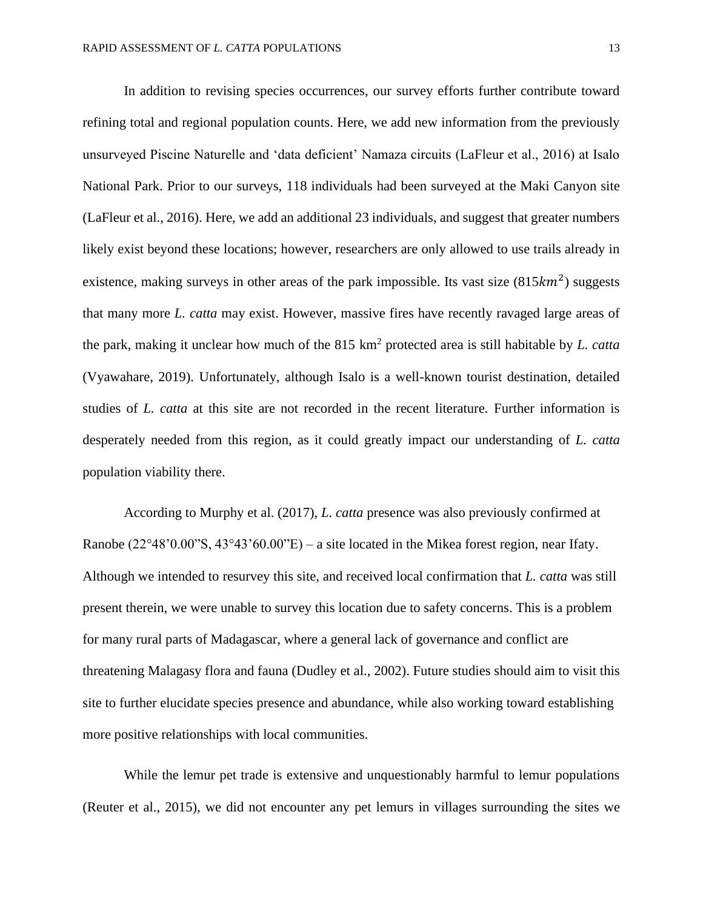In addition to revising species occurrences, our survey efforts further contribute toward refining total and regional population counts. Here, we add new information from the previously unsurveyed Piscine Naturelle and 'data deficient' Namaza circuits (LaFleur et al., 2016) at Isalo National Park. Prior to our surveys, 118 individuals had been surveyed at the Maki Canyon site (LaFleur et al., 2016). Here, we add an additional 23 individuals, and suggest that greater numbers likely exist beyond these locations; however, researchers are only allowed to use trails already in existence, making surveys in other areas of the park impossible. Its vast size  $(815km^2)$  suggests that many more *L. catta* may exist. However, massive fires have recently ravaged large areas of the park, making it unclear how much of the 815 km<sup>2</sup> protected area is still habitable by *L. catta* (Vyawahare, 2019). Unfortunately, although Isalo is a well-known tourist destination, detailed studies of *L. catta* at this site are not recorded in the recent literature. Further information is desperately needed from this region, as it could greatly impact our understanding of *L. catta* population viability there.

According to Murphy et al. (2017), *L. catta* presence was also previously confirmed at Ranobe  $(22^{\circ}48'0.00''S, 43^{\circ}43'60.00''E) - a$  site located in the Mikea forest region, near Ifaty. Although we intended to resurvey this site, and received local confirmation that *L. catta* was still present therein, we were unable to survey this location due to safety concerns. This is a problem for many rural parts of Madagascar, where a general lack of governance and conflict are threatening Malagasy flora and fauna (Dudley et al., 2002). Future studies should aim to visit this site to further elucidate species presence and abundance, while also working toward establishing more positive relationships with local communities.

While the lemur pet trade is extensive and unquestionably harmful to lemur populations (Reuter et al., 2015), we did not encounter any pet lemurs in villages surrounding the sites we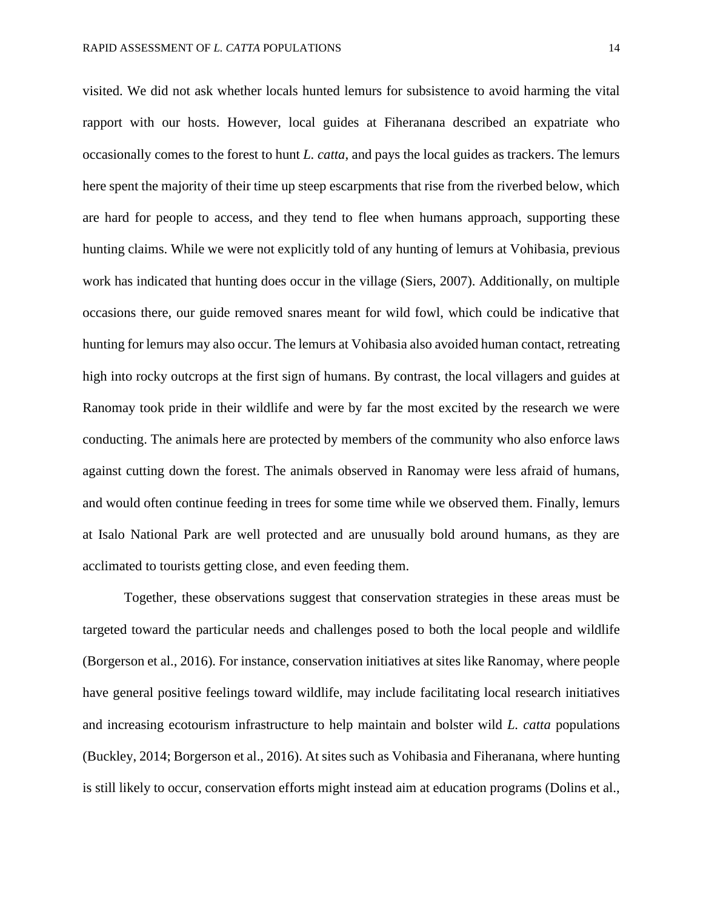visited. We did not ask whether locals hunted lemurs for subsistence to avoid harming the vital rapport with our hosts. However, local guides at Fiheranana described an expatriate who occasionally comes to the forest to hunt *L. catta*, and pays the local guides as trackers. The lemurs here spent the majority of their time up steep escarpments that rise from the riverbed below, which are hard for people to access, and they tend to flee when humans approach, supporting these hunting claims. While we were not explicitly told of any hunting of lemurs at Vohibasia, previous work has indicated that hunting does occur in the village (Siers, 2007). Additionally, on multiple occasions there, our guide removed snares meant for wild fowl, which could be indicative that hunting for lemurs may also occur. The lemurs at Vohibasia also avoided human contact, retreating high into rocky outcrops at the first sign of humans. By contrast, the local villagers and guides at Ranomay took pride in their wildlife and were by far the most excited by the research we were conducting. The animals here are protected by members of the community who also enforce laws against cutting down the forest. The animals observed in Ranomay were less afraid of humans, and would often continue feeding in trees for some time while we observed them. Finally, lemurs at Isalo National Park are well protected and are unusually bold around humans, as they are acclimated to tourists getting close, and even feeding them.

Together, these observations suggest that conservation strategies in these areas must be targeted toward the particular needs and challenges posed to both the local people and wildlife (Borgerson et al., 2016). For instance, conservation initiatives at sites like Ranomay, where people have general positive feelings toward wildlife, may include facilitating local research initiatives and increasing ecotourism infrastructure to help maintain and bolster wild *L. catta* populations (Buckley, 2014; Borgerson et al., 2016). At sites such as Vohibasia and Fiheranana, where hunting is still likely to occur, conservation efforts might instead aim at education programs (Dolins et al.,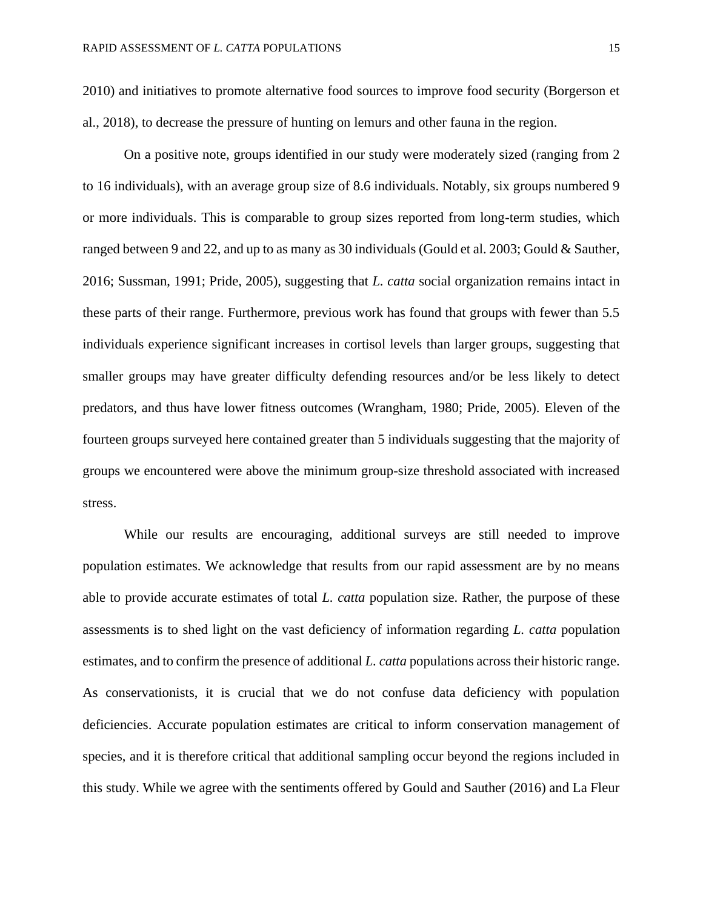2010) and initiatives to promote alternative food sources to improve food security (Borgerson et al., 2018), to decrease the pressure of hunting on lemurs and other fauna in the region.

On a positive note, groups identified in our study were moderately sized (ranging from 2 to 16 individuals), with an average group size of 8.6 individuals. Notably, six groups numbered 9 or more individuals. This is comparable to group sizes reported from long-term studies, which ranged between 9 and 22, and up to as many as 30 individuals (Gould et al. 2003; Gould & Sauther, 2016; Sussman, 1991; Pride, 2005), suggesting that *L. catta* social organization remains intact in these parts of their range. Furthermore, previous work has found that groups with fewer than 5.5 individuals experience significant increases in cortisol levels than larger groups, suggesting that smaller groups may have greater difficulty defending resources and/or be less likely to detect predators, and thus have lower fitness outcomes (Wrangham, 1980; Pride, 2005). Eleven of the fourteen groups surveyed here contained greater than 5 individuals suggesting that the majority of groups we encountered were above the minimum group-size threshold associated with increased stress.

While our results are encouraging, additional surveys are still needed to improve population estimates. We acknowledge that results from our rapid assessment are by no means able to provide accurate estimates of total *L. catta* population size. Rather, the purpose of these assessments is to shed light on the vast deficiency of information regarding *L. catta* population estimates, and to confirm the presence of additional *L. catta* populations across their historic range. As conservationists, it is crucial that we do not confuse data deficiency with population deficiencies. Accurate population estimates are critical to inform conservation management of species, and it is therefore critical that additional sampling occur beyond the regions included in this study. While we agree with the sentiments offered by Gould and Sauther (2016) and La Fleur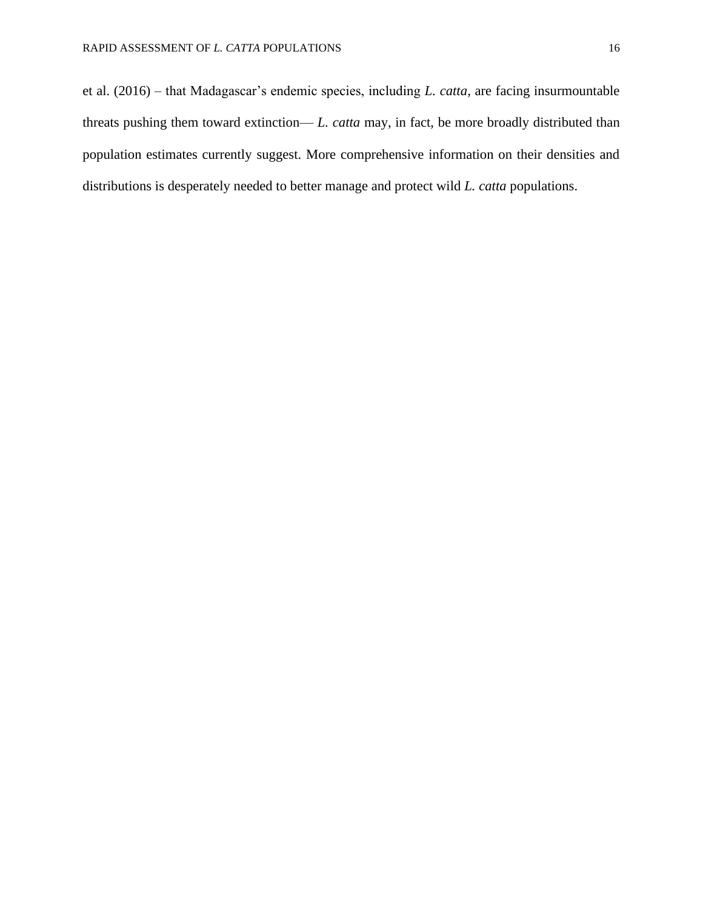et al. (2016) – that Madagascar's endemic species, including *L. catta*, are facing insurmountable threats pushing them toward extinction— *L. catta* may, in fact, be more broadly distributed than population estimates currently suggest. More comprehensive information on their densities and distributions is desperately needed to better manage and protect wild *L. catta* populations.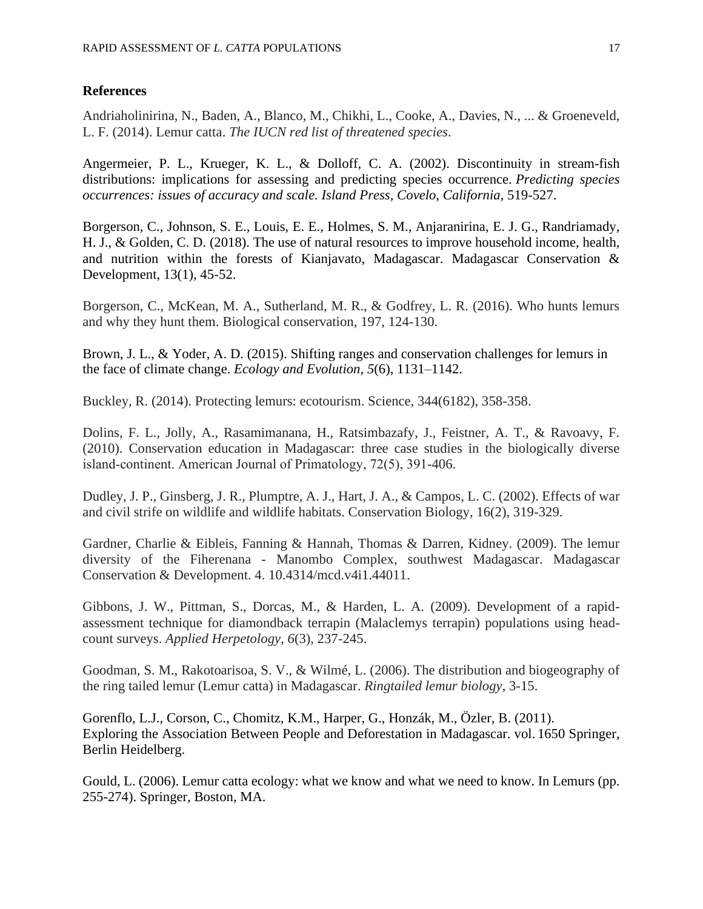#### **References**

Andriaholinirina, N., Baden, A., Blanco, M., Chikhi, L., Cooke, A., Davies, N., ... & Groeneveld, L. F. (2014). Lemur catta. *The IUCN red list of threatened species*.

Angermeier, P. L., Krueger, K. L., & Dolloff, C. A. (2002). Discontinuity in stream-fish distributions: implications for assessing and predicting species occurrence. *Predicting species occurrences: issues of accuracy and scale. Island Press, Covelo, California*, 519-527.

Borgerson, C., Johnson, S. E., Louis, E. E., Holmes, S. M., Anjaranirina, E. J. G., Randriamady, H. J., & Golden, C. D. (2018). The use of natural resources to improve household income, health, and nutrition within the forests of Kianjavato, Madagascar. Madagascar Conservation & Development, 13(1), 45-52.

Borgerson, C., McKean, M. A., Sutherland, M. R., & Godfrey, L. R. (2016). Who hunts lemurs and why they hunt them. Biological conservation, 197, 124-130.

Brown, J. L., & Yoder, A. D. (2015). Shifting ranges and conservation challenges for lemurs in the face of climate change. *Ecology and Evolution*, *5*(6), 1131–1142.

Buckley, R. (2014). Protecting lemurs: ecotourism. Science, 344(6182), 358-358.

Dolins, F. L., Jolly, A., Rasamimanana, H., Ratsimbazafy, J., Feistner, A. T., & Ravoavy, F. (2010). Conservation education in Madagascar: three case studies in the biologically diverse island‐continent. American Journal of Primatology, 72(5), 391-406.

Dudley, J. P., Ginsberg, J. R., Plumptre, A. J., Hart, J. A., & Campos, L. C. (2002). Effects of war and civil strife on wildlife and wildlife habitats. Conservation Biology, 16(2), 319-329.

Gardner, Charlie & Eibleis, Fanning & Hannah, Thomas & Darren, Kidney. (2009). The lemur diversity of the Fiherenana - Manombo Complex, southwest Madagascar. Madagascar Conservation & Development. 4. 10.4314/mcd.v4i1.44011.

Gibbons, J. W., Pittman, S., Dorcas, M., & Harden, L. A. (2009). Development of a rapidassessment technique for diamondback terrapin (Malaclemys terrapin) populations using headcount surveys. *Applied Herpetology*, *6*(3), 237-245.

Goodman, S. M., Rakotoarisoa, S. V., & Wilmé, L. (2006). The distribution and biogeography of the ring tailed lemur (Lemur catta) in Madagascar. *Ringtailed lemur biology*, 3-15.

Gorenflo, L.J., Corson, C., Chomitz, K.M., Harper, G., Honzák, M., Özler, B. (2011). Exploring the Association Between People and Deforestation in Madagascar. vol. 1650 Springer, Berlin Heidelberg.

Gould, L. (2006). Lemur catta ecology: what we know and what we need to know. In Lemurs (pp. 255-274). Springer, Boston, MA.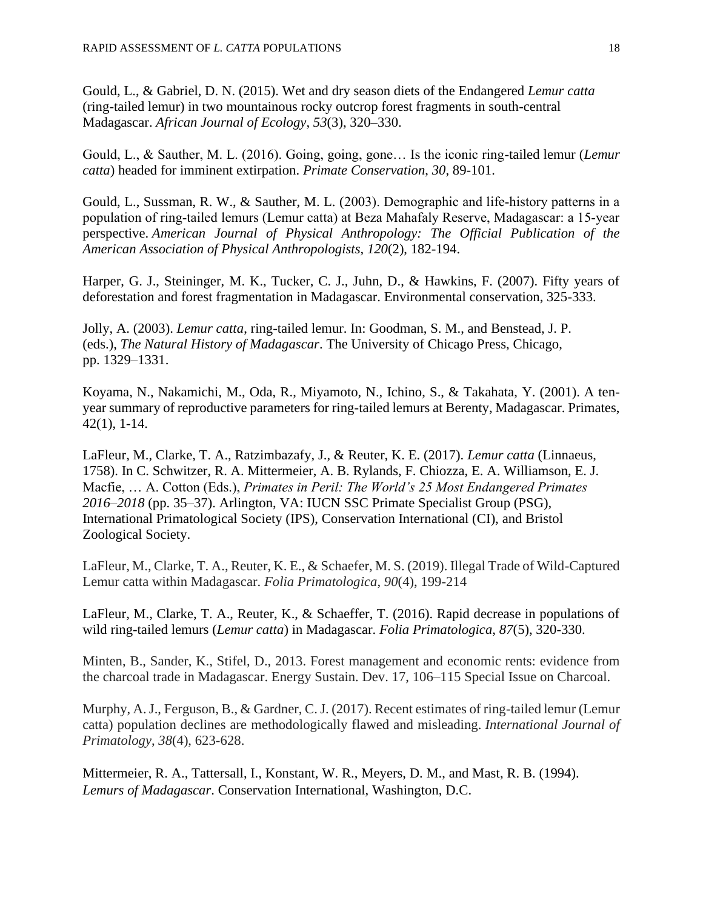Gould, L., & Gabriel, D. N. (2015). Wet and dry season diets of the Endangered *Lemur catta* (ring-tailed lemur) in two mountainous rocky outcrop forest fragments in south-central Madagascar. *African Journal of Ecology*, *53*(3), 320–330.

Gould, L., & Sauther, M. L. (2016). Going, going, gone… Is the iconic ring-tailed lemur (*Lemur catta*) headed for imminent extirpation. *Primate Conservation*, *30*, 89-101.

Gould, L., Sussman, R. W., & Sauther, M. L. (2003). Demographic and life‐history patterns in a population of ring‐tailed lemurs (Lemur catta) at Beza Mahafaly Reserve, Madagascar: a 15‐year perspective. *American Journal of Physical Anthropology: The Official Publication of the American Association of Physical Anthropologists*, *120*(2), 182-194.

Harper, G. J., Steininger, M. K., Tucker, C. J., Juhn, D., & Hawkins, F. (2007). Fifty years of deforestation and forest fragmentation in Madagascar. Environmental conservation, 325-333.

Jolly, A. (2003). *Lemur catta*, ring-tailed lemur. In: Goodman, S. M., and Benstead, J. P. (eds.), *The Natural History of Madagascar*. The University of Chicago Press, Chicago, pp. 1329–1331.

Koyama, N., Nakamichi, M., Oda, R., Miyamoto, N., Ichino, S., & Takahata, Y. (2001). A tenyear summary of reproductive parameters for ring-tailed lemurs at Berenty, Madagascar. Primates, 42(1), 1-14.

LaFleur, M., Clarke, T. A., Ratzimbazafy, J., & Reuter, K. E. (2017). *Lemur catta* (Linnaeus, 1758). In C. Schwitzer, R. A. Mittermeier, A. B. Rylands, F. Chiozza, E. A. Williamson, E. J. Macfie, … A. Cotton (Eds.), *Primates in Peril: The World's 25 Most Endangered Primates 2016–2018* (pp. 35–37). Arlington, VA: IUCN SSC Primate Specialist Group (PSG), International Primatological Society (IPS), Conservation International (CI), and Bristol Zoological Society.

LaFleur, M., Clarke, T. A., Reuter, K. E., & Schaefer, M. S. (2019). Illegal Trade of Wild-Captured Lemur catta within Madagascar. *Folia Primatologica*, *90*(4), 199-214

LaFleur, M., Clarke, T. A., Reuter, K., & Schaeffer, T. (2016). Rapid decrease in populations of wild ring-tailed lemurs (*Lemur catta*) in Madagascar. *Folia Primatologica*, *87*(5), 320-330.

Minten, B., Sander, K., Stifel, D., 2013. Forest management and economic rents: evidence from the charcoal trade in Madagascar. Energy Sustain. Dev. 17, 106–115 Special Issue on Charcoal.

Murphy, A. J., Ferguson, B., & Gardner, C. J. (2017). Recent estimates of ring-tailed lemur (Lemur catta) population declines are methodologically flawed and misleading. *International Journal of Primatology*, *38*(4), 623-628.

Mittermeier, R. A., Tattersall, I., Konstant, W. R., Meyers, D. M., and Mast, R. B. (1994). *Lemurs of Madagascar*. Conservation International, Washington, D.C.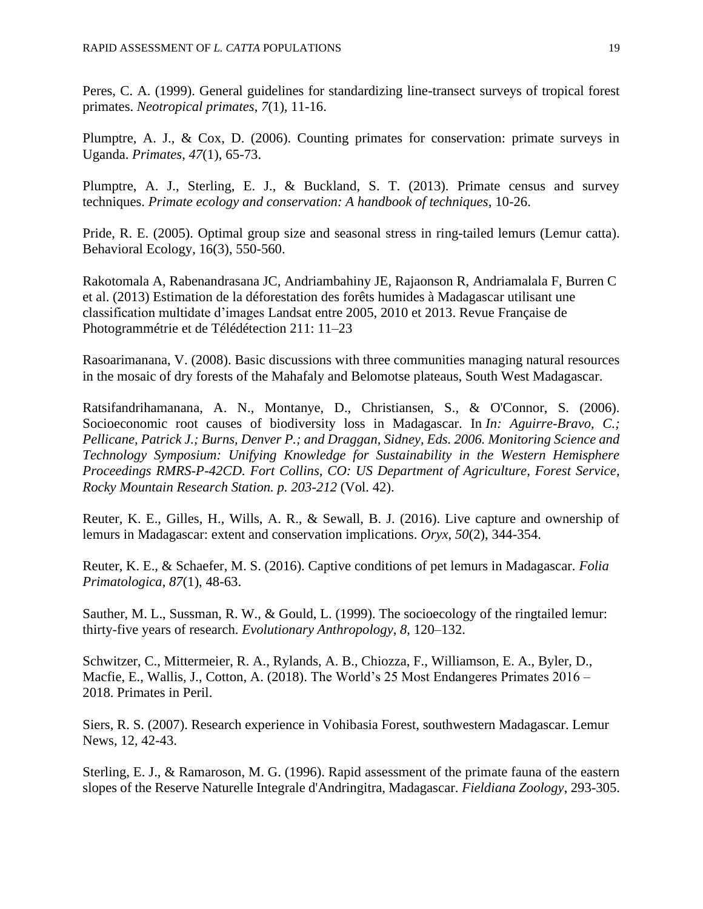Peres, C. A. (1999). General guidelines for standardizing line-transect surveys of tropical forest primates. *Neotropical primates*, *7*(1), 11-16.

Plumptre, A. J., & Cox, D. (2006). Counting primates for conservation: primate surveys in Uganda. *Primates*, *47*(1), 65-73.

Plumptre, A. J., Sterling, E. J., & Buckland, S. T. (2013). Primate census and survey techniques. *Primate ecology and conservation: A handbook of techniques*, 10-26.

Pride, R. E. (2005). Optimal group size and seasonal stress in ring-tailed lemurs (Lemur catta). Behavioral Ecology, 16(3), 550-560.

Rakotomala A, Rabenandrasana JC, Andriambahiny JE, Rajaonson R, Andriamalala F, Burren C et al. (2013) Estimation de la déforestation des forêts humides à Madagascar utilisant une classification multidate d'images Landsat entre 2005, 2010 et 2013. Revue Française de Photogrammétrie et de Télédétection 211: 11–23

Rasoarimanana, V. (2008). Basic discussions with three communities managing natural resources in the mosaic of dry forests of the Mahafaly and Belomotse plateaus, South West Madagascar.

Ratsifandrihamanana, A. N., Montanye, D., Christiansen, S., & O'Connor, S. (2006). Socioeconomic root causes of biodiversity loss in Madagascar. In *In: Aguirre-Bravo, C.; Pellicane, Patrick J.; Burns, Denver P.; and Draggan, Sidney, Eds. 2006. Monitoring Science and Technology Symposium: Unifying Knowledge for Sustainability in the Western Hemisphere Proceedings RMRS-P-42CD. Fort Collins, CO: US Department of Agriculture, Forest Service, Rocky Mountain Research Station. p. 203-212* (Vol. 42).

Reuter, K. E., Gilles, H., Wills, A. R., & Sewall, B. J. (2016). Live capture and ownership of lemurs in Madagascar: extent and conservation implications. *Oryx*, *50*(2), 344-354.

Reuter, K. E., & Schaefer, M. S. (2016). Captive conditions of pet lemurs in Madagascar. *Folia Primatologica*, *87*(1), 48-63.

Sauther, M. L., Sussman, R. W., & Gould, L. (1999). The socioecology of the ringtailed lemur: thirty-five years of research. *Evolutionary Anthropology*, *8*, 120–132.

Schwitzer, C., Mittermeier, R. A., Rylands, A. B., Chiozza, F., Williamson, E. A., Byler, D., Macfie, E., Wallis, J., Cotton, A. (2018). The World's 25 Most Endangeres Primates 2016 – 2018. Primates in Peril.

Siers, R. S. (2007). Research experience in Vohibasia Forest, southwestern Madagascar. Lemur News, 12, 42-43.

Sterling, E. J., & Ramaroson, M. G. (1996). Rapid assessment of the primate fauna of the eastern slopes of the Reserve Naturelle Integrale d'Andringitra, Madagascar. *Fieldiana Zoology*, 293-305.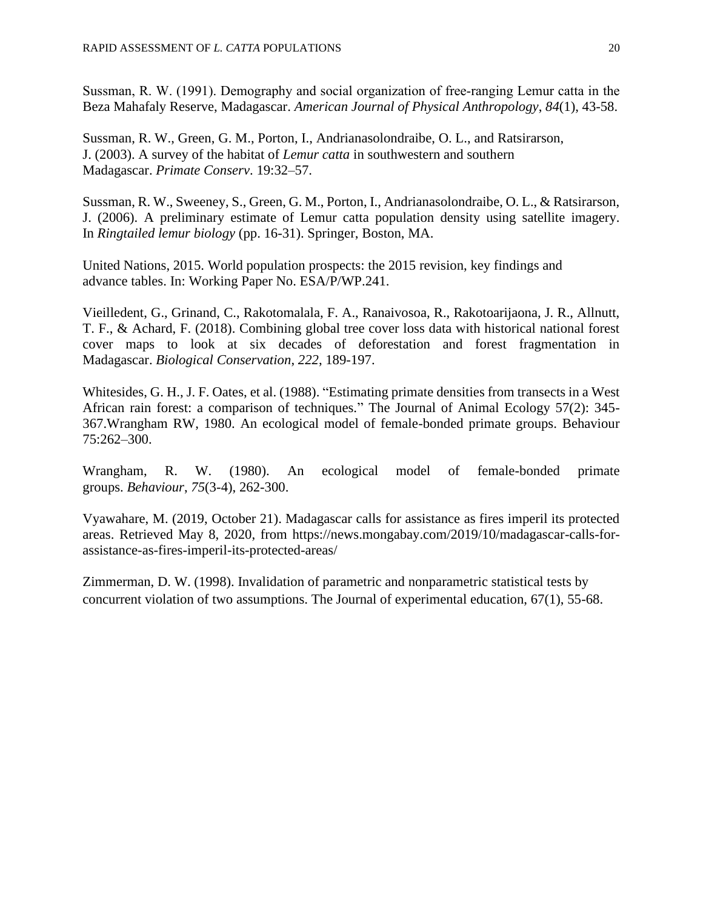Sussman, R. W. (1991). Demography and social organization of free-ranging Lemur catta in the Beza Mahafaly Reserve, Madagascar. *American Journal of Physical Anthropology*, *84*(1), 43-58.

Sussman, R. W., Green, G. M., Porton, I., Andrianasolondraibe, O. L., and Ratsirarson, J. (2003). A survey of the habitat of *Lemur catta* in southwestern and southern Madagascar. *Primate Conserv*. 19:32–57.

Sussman, R. W., Sweeney, S., Green, G. M., Porton, I., Andrianasolondraibe, O. L., & Ratsirarson, J. (2006). A preliminary estimate of Lemur catta population density using satellite imagery. In *Ringtailed lemur biology* (pp. 16-31). Springer, Boston, MA.

United Nations, 2015. World population prospects: the 2015 revision, key findings and advance tables. In: Working Paper No. ESA/P/WP.241.

Vieilledent, G., Grinand, C., Rakotomalala, F. A., Ranaivosoa, R., Rakotoarijaona, J. R., Allnutt, T. F., & Achard, F. (2018). Combining global tree cover loss data with historical national forest cover maps to look at six decades of deforestation and forest fragmentation in Madagascar. *Biological Conservation*, *222*, 189-197.

Whitesides, G. H., J. F. Oates, et al. (1988). "Estimating primate densities from transects in a West African rain forest: a comparison of techniques." The Journal of Animal Ecology 57(2): 345- 367.Wrangham RW, 1980. An ecological model of female-bonded primate groups. Behaviour 75:262–300.

Wrangham, R. W. (1980). An ecological model of female-bonded primate groups. *Behaviour*, *75*(3-4), 262-300.

Vyawahare, M. (2019, October 21). Madagascar calls for assistance as fires imperil its protected areas. Retrieved May 8, 2020, from https://news.mongabay.com/2019/10/madagascar-calls-forassistance-as-fires-imperil-its-protected-areas/

Zimmerman, D. W. (1998). Invalidation of parametric and nonparametric statistical tests by concurrent violation of two assumptions. The Journal of experimental education, 67(1), 55-68.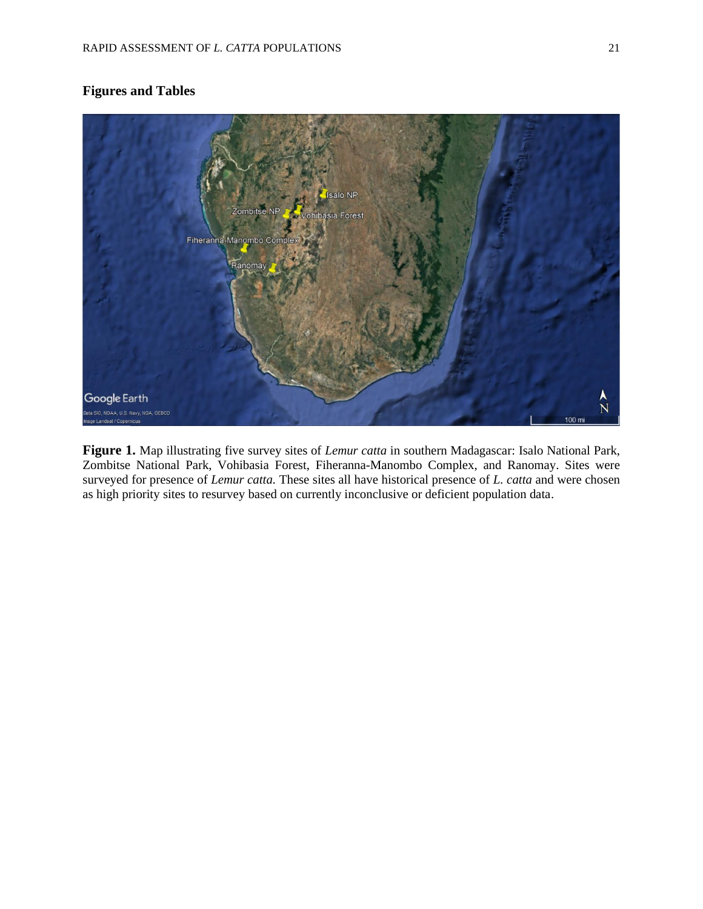## **Figures and Tables**



**Figure 1.** Map illustrating five survey sites of *Lemur catta* in southern Madagascar: Isalo National Park, Zombitse National Park, Vohibasia Forest, Fiheranna-Manombo Complex, and Ranomay. Sites were surveyed for presence of *Lemur catta.* These sites all have historical presence of *L. catta* and were chosen as high priority sites to resurvey based on currently inconclusive or deficient population data.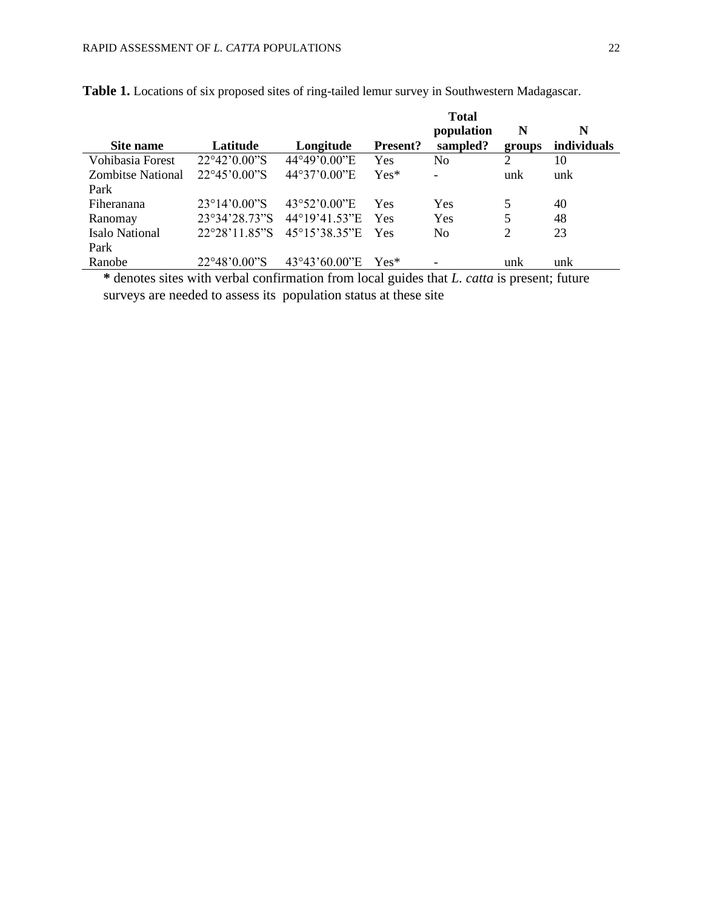|                          |                         |                        |                 | <b>Total</b><br>population | N      | N                  |
|--------------------------|-------------------------|------------------------|-----------------|----------------------------|--------|--------------------|
| Site name                | Latitude                | Longitude              | <b>Present?</b> | sampled?                   | groups | <i>individuals</i> |
| Vohibasia Forest         | 22°42'0.00"S            | 44°49'0.00"E           | Yes             | No                         | 2      | 10                 |
| <b>Zombitse National</b> | $22^{\circ}45'0.00''S$  | 44°37'0.00"E           | $Yes*$          |                            | unk    | unk                |
| Park                     |                         |                        |                 |                            |        |                    |
| Fiheranana               | $23^{\circ}14'0.00''S$  | $43^{\circ}52'0.00''E$ | Yes             | Yes                        | 5      | 40                 |
| Ranomay                  | 23°34'28.73"S           | 44°19'41.53"E          | Yes             | Yes                        | 5      | 48                 |
| Isalo National           | $22^{\circ}28'11.85''S$ | 45°15'38.35"E          | Yes             | No                         | 2      | 23                 |
| Park                     |                         |                        |                 |                            |        |                    |
| Ranobe                   | 22°48'0.00"S            | $43^{\circ}43'60.00"E$ | $Yes*$          |                            | unk    | unk                |

**Table 1.** Locations of six proposed sites of ring-tailed lemur survey in Southwestern Madagascar.

**\*** denotes sites with verbal confirmation from local guides that *L. catta* is present; future surveys are needed to assess its population status at these site